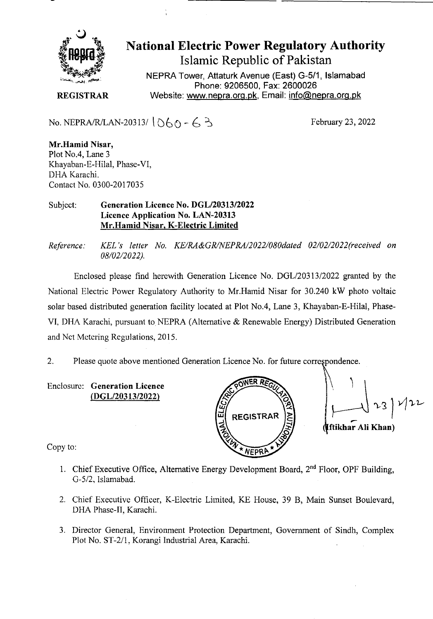

**National Electric Power Regulatory Authority Islamic Republic of Pakistan** 

**NEPRA Tower, Aftaturk Avenue (East) G-511, Islamabad Phone: 9206500, Fax: 2600026 REGISTRAR** Website: www.nepra.org.pk, Email: info@nepra.org.pk

No. NEPRA/R/LAN-20313/ $(060 - 63)$ 

February 23, 2022

**Mr.Hamid Nisar,**  Plot No.4, Lane *3*  Khayaban-E-Hilal, Phase-VI, DHA Karachi. Contact No. 0300-2017035

#### Subject: **Generation Licence No. DGL/20313/2022 Licence Application No. LAN-20313 Mr.Hamid Nisar, K-Electric Limited**

*Reference. KEL 's letter No. KE/RA&GR/NEPRA/2022/080dated 02/02/2022('received on 08/02/2 022).* 

Enclosed please find herewith Generation Licence No. DGL/20313/2022 granted by the National Electric Power Regulatory Authority to Mr.Hamid Nisar for 30.240 kW photo voltaic solar based distributed generation facility located at Plot No.4, Lane 3, Khayaban-E-Hilal, Phase-VI, DHA Karachi, pursuant to NEPRA (Alternative & Renewable Energy) Distributed Generation and Net Metering Regulations, 2015.

2. Please quote above mentioned Generation Licence No. for future correpondence.

Enclosure: **Generation Licence**  *(DGL12031312022)* 



23) 122 **ftikhar Au Khan)** 

Copy to:

- 1. Chief Executive Office, Alternative Energy Development Board, 2<sup>nd</sup> Floor, OPF Building, *G-512,* Islarnabad.
- 2. Chief Executive Officer, K-Electric Limited, KE House, 39 B, Main Sunset Boulevard, DIIA Phase-IT, Karachi.
- 3. Director General, Environment Protection Department, Government of Sindh, Complex Plot No. ST-2/1, Korangi Industrial Area, Karachi.